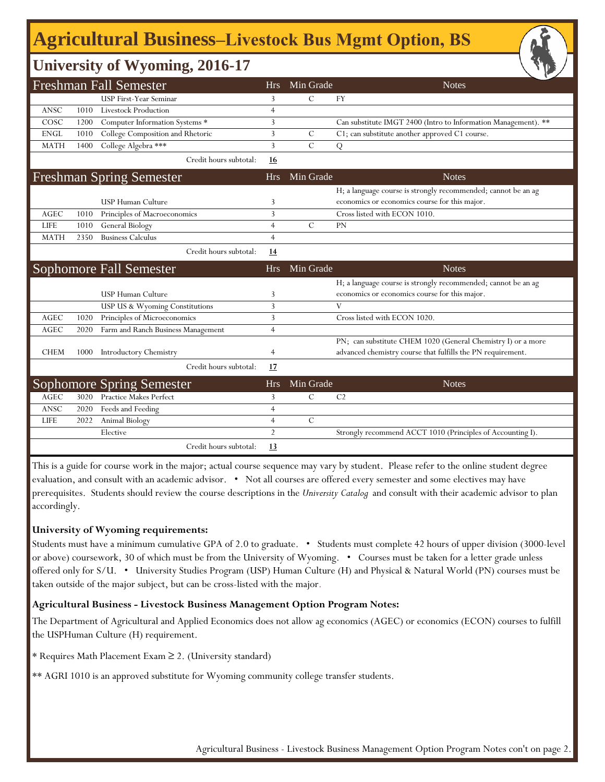## **Agricultural Business‒Livestock Bus Mgmt Option, BS**

## **University of Wyoming, 2016-17**

|             |      |                                                                   |                |               | び∠                                                             |
|-------------|------|-------------------------------------------------------------------|----------------|---------------|----------------------------------------------------------------|
|             |      | <b>Freshman Fall Semester</b>                                     | Hrs            | Min Grade     | <b>Notes</b>                                                   |
|             |      | <b>USP First-Year Seminar</b>                                     | 3              | $\mathcal{C}$ | <b>FY</b>                                                      |
| <b>ANSC</b> | 1010 | <b>Livestock Production</b>                                       | $\overline{4}$ |               |                                                                |
| COSC        | 1200 | Computer Information Systems *                                    | 3              |               | Can substitute IMGT 2400 (Intro to Information Management). ** |
| <b>ENGL</b> | 1010 | College Composition and Rhetoric                                  | 3              | $\mathcal{C}$ | C1; can substitute another approved C1 course.                 |
| <b>MATH</b> | 1400 | College Algebra ***                                               | 3              | $\mathcal{C}$ | Q                                                              |
|             |      | Credit hours subtotal:                                            | <b>16</b>      |               |                                                                |
|             |      | <b>Freshman Spring Semester</b>                                   | <b>Hrs</b>     | Min Grade     | <b>Notes</b>                                                   |
|             |      |                                                                   |                |               | H; a language course is strongly recommended; cannot be an ag  |
|             |      | <b>USP Human Culture</b>                                          | 3              |               | economics or economics course for this major.                  |
| AGEC        | 1010 | Principles of Macroeconomics                                      | 3              |               | Cross listed with ECON 1010.                                   |
| <b>LIFE</b> | 1010 | General Biology                                                   | $\overline{4}$ | $\mathcal{C}$ | <b>PN</b>                                                      |
| <b>MATH</b> | 2350 | <b>Business Calculus</b>                                          | $\overline{4}$ |               |                                                                |
|             |      | Credit hours subtotal:                                            | <u>14</u>      |               |                                                                |
|             |      | <b>Sophomore Fall Semester</b>                                    | <b>Hrs</b>     | Min Grade     | <b>Notes</b>                                                   |
|             |      |                                                                   |                |               |                                                                |
|             |      |                                                                   |                |               | H; a language course is strongly recommended; cannot be an ag  |
|             |      | <b>USP Human Culture</b>                                          | 3              |               | economics or economics course for this major.                  |
|             |      | USP US & Wyoming Constitutions                                    | 3              |               | V                                                              |
| AGEC        | 1020 | Principles of Microeconomics                                      | 3              |               | Cross listed with ECON 1020.                                   |
| <b>AGEC</b> | 2020 | Farm and Ranch Business Management                                | $\overline{4}$ |               |                                                                |
|             |      |                                                                   |                |               | PN; can substitute CHEM 1020 (General Chemistry I) or a more   |
| <b>CHEM</b> | 1000 | <b>Introductory Chemistry</b>                                     | $\overline{4}$ |               | advanced chemistry course that fulfills the PN requirement.    |
|             |      | Credit hours subtotal:                                            | 17             |               |                                                                |
|             |      |                                                                   | <b>Hrs</b>     | Min Grade     | <b>Notes</b>                                                   |
| <b>AGEC</b> | 3020 | <b>Sophomore Spring Semester</b><br><b>Practice Makes Perfect</b> | 3              | $\mathcal{C}$ | C <sub>2</sub>                                                 |
| ANSC        | 2020 | Feeds and Feeding                                                 | $\overline{4}$ |               |                                                                |
| <b>LIFE</b> | 2022 | Animal Biology                                                    | $\overline{4}$ | $\mathbf C$   |                                                                |
|             |      | Elective                                                          | $\overline{2}$ |               | Strongly recommend ACCT 1010 (Principles of Accounting I).     |

This is a guide for course work in the major; actual course sequence may vary by student. Please refer to the online student degree evaluation, and consult with an academic advisor. • Not all courses are offered every semester and some electives may have prerequisites. Students should review the course descriptions in the *University Catalog* and consult with their academic advisor to plan accordingly.

#### **University of Wyoming requirements:**

Students must have a minimum cumulative GPA of 2.0 to graduate. • Students must complete 42 hours of upper division (3000-level or above) coursework, 30 of which must be from the University of Wyoming. • Courses must be taken for a letter grade unless offered only for S/U. • University Studies Program (USP) Human Culture (H) and Physical & Natural World (PN) courses must be taken outside of the major subject, but can be cross-listed with the major.

#### **Agricultural Business - Livestock Business Management Option Program Notes:**

The Department of Agricultural and Applied Economics does not allow ag economics (AGEC) or economics (ECON) courses to fulfill the USPHuman Culture (H) requirement.

- \* Requires Math Placement Exam ≥ 2. (University standard)
- \*\* AGRI 1010 is an approved substitute for Wyoming community college transfer students.